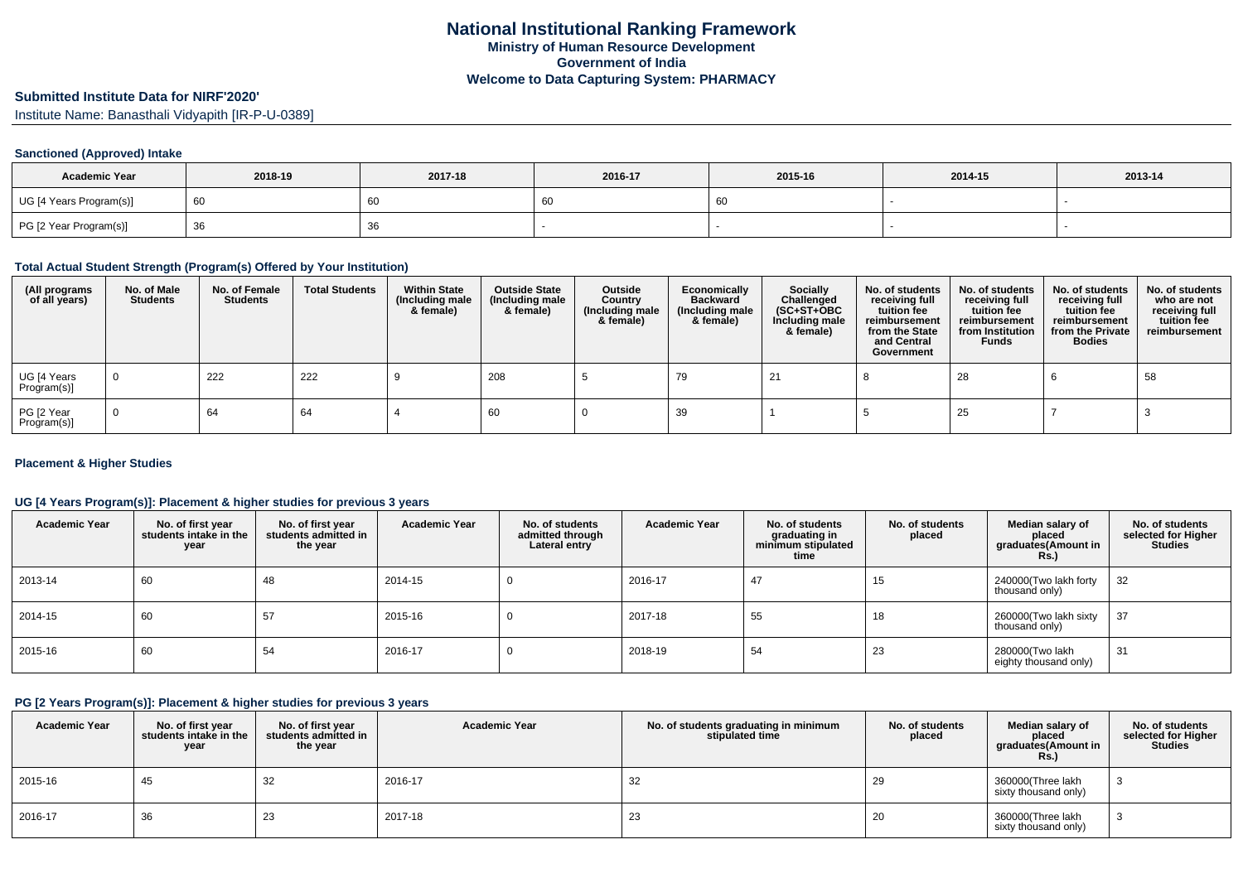# **Submitted Institute Data for NIRF'2020'**

Institute Name: Banasthali Vidyapith [IR-P-U-0389]

## **Sanctioned (Approved) Intake**

| <b>Academic Year</b>    | 2018-19 | 2017-18 | 2016-17 | 2015-16 | 2014-15 | 2013-14 |
|-------------------------|---------|---------|---------|---------|---------|---------|
| UG [4 Years Program(s)] |         | 60      | υu      |         |         |         |
| PG [2 Year Program(s)]  |         | ັບບ     |         |         |         |         |

## **Total Actual Student Strength (Program(s) Offered by Your Institution)**

| (All programs<br>of all years) | No. of Male<br><b>Students</b> | No. of Female<br>Students | <b>Total Students</b> | <b>Within State</b><br>(Including male<br>& female) | <b>Outside State</b><br>(Including male<br>& female) | Outside<br>Country<br>(Including male<br>& female) | Economically<br>Backward<br>(Including male<br>& female) | <b>Socially</b><br>Challenged<br>$(SC+ST+OBC)$<br>Including male<br>& female) | No. of students<br>receiving full<br>tuition fee<br>reimbursement<br>from the State<br>and Central<br>Government | No. of students<br>receiving full<br>tuition fee<br>reimbursement<br>from Institution<br><b>Funds</b> | No. of students<br>receiving full<br>tuition fee<br>reimbursement<br>from the Private<br><b>Bodies</b> | No. of students<br>who are not<br>receiving full<br>tuition fee<br>reimbursement |
|--------------------------------|--------------------------------|---------------------------|-----------------------|-----------------------------------------------------|------------------------------------------------------|----------------------------------------------------|----------------------------------------------------------|-------------------------------------------------------------------------------|------------------------------------------------------------------------------------------------------------------|-------------------------------------------------------------------------------------------------------|--------------------------------------------------------------------------------------------------------|----------------------------------------------------------------------------------|
| UG [4 Years<br>Program(s)]     | $\mathbf 0$                    | 222                       | 222                   |                                                     | 208                                                  |                                                    | 79                                                       | -21                                                                           |                                                                                                                  | 28                                                                                                    |                                                                                                        | 58                                                                               |
| PG [2 Year<br>Program(s)]      | $\overline{0}$                 | 64                        | 64                    |                                                     | 60                                                   |                                                    | 39                                                       |                                                                               |                                                                                                                  | 25                                                                                                    |                                                                                                        |                                                                                  |

## **Placement & Higher Studies**

## **UG [4 Years Program(s)]: Placement & higher studies for previous 3 years**

| <b>Academic Year</b> | No. of first year<br>students intake in the<br>vear | No. of first vear<br>students admitted in<br>the year | <b>Academic Year</b> | No. of students<br>admitted through<br>Lateral entry | <b>Academic Year</b> | No. of students<br>graduating in<br>minimum stipulated<br>time | No. of students<br>placed | Median salary of<br>placed<br>graduates(Amount in<br><b>Rs.)</b> | No. of students<br>selected for Higher<br><b>Studies</b> |
|----------------------|-----------------------------------------------------|-------------------------------------------------------|----------------------|------------------------------------------------------|----------------------|----------------------------------------------------------------|---------------------------|------------------------------------------------------------------|----------------------------------------------------------|
| 2013-14              | 60                                                  | 48                                                    | 2014-15              | υ                                                    | 2016-17              | 47                                                             | 15                        | 240000(Two lakh forty<br>thousand only)                          | 32                                                       |
| 2014-15              | 60                                                  | 57                                                    | 2015-16              |                                                      | 2017-18              | 55                                                             | 18                        | 260000(Two lakh sixty<br>thousand only)                          | 37                                                       |
| 2015-16              | 60                                                  | 54                                                    | 2016-17              |                                                      | 2018-19              | 54                                                             | 23                        | 280000(Two lakh<br>eighty thousand only)                         | 31                                                       |

## **PG [2 Years Program(s)]: Placement & higher studies for previous 3 years**

| <b>Academic Year</b> | No. of first year<br>students intake in the<br>year | No. of first vear<br>students admitted in<br>the year | <b>Academic Year</b> | No. of students graduating in minimum<br>stipulated time | No. of students<br>placed | Median salary of<br>placed<br>graduates(Amount in<br>Rs.) | No. of students<br>selected for Higher<br><b>Studies</b> |
|----------------------|-----------------------------------------------------|-------------------------------------------------------|----------------------|----------------------------------------------------------|---------------------------|-----------------------------------------------------------|----------------------------------------------------------|
| 2015-16              | 45                                                  | 32                                                    | 2016-17              | 32                                                       | 29                        | 360000(Three lakh<br>sixty thousand only)                 |                                                          |
| 2016-17              | 36                                                  | 23                                                    | 2017-18              | 23                                                       | 20                        | 360000(Three lakh<br>sixty thousand only)                 |                                                          |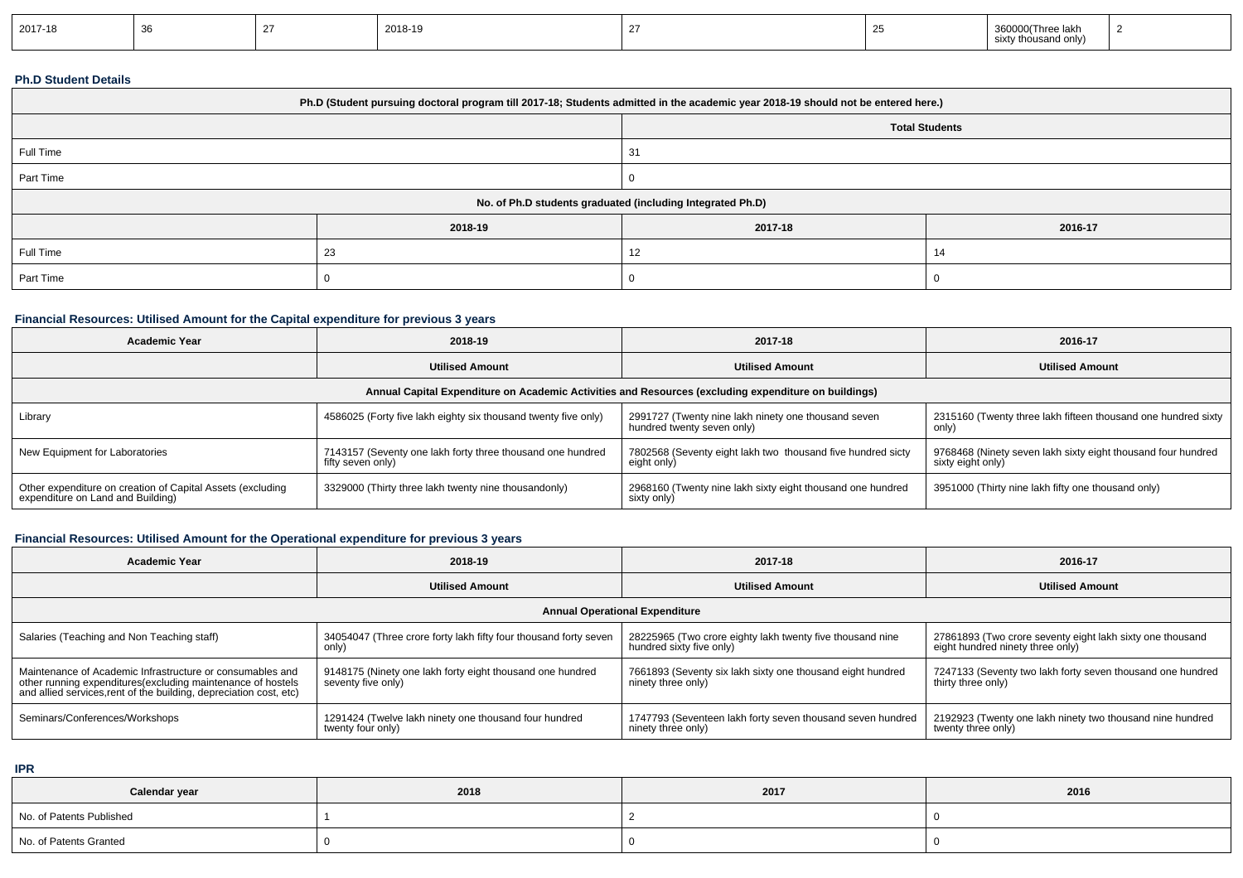| 2017-18 |  | 2018-19 |  | 360000(Three lakh<br>sixty thousand only) |  |
|---------|--|---------|--|-------------------------------------------|--|
|         |  |         |  |                                           |  |

# **Ph.D Student Details**

| Ph.D (Student pursuing doctoral program till 2017-18; Students admitted in the academic year 2018-19 should not be entered here.) |         |                       |         |  |  |
|-----------------------------------------------------------------------------------------------------------------------------------|---------|-----------------------|---------|--|--|
|                                                                                                                                   |         | <b>Total Students</b> |         |  |  |
| Full Time                                                                                                                         |         | 31                    |         |  |  |
| Part Time                                                                                                                         |         |                       |         |  |  |
| No. of Ph.D students graduated (including Integrated Ph.D)                                                                        |         |                       |         |  |  |
|                                                                                                                                   | 2018-19 | 2017-18               | 2016-17 |  |  |
| Full Time                                                                                                                         | 23      |                       | 14      |  |  |
| Part Time                                                                                                                         |         |                       |         |  |  |

# **Financial Resources: Utilised Amount for the Capital expenditure for previous 3 years**

| <b>Academic Year</b>                                                                                 | 2018-19                                                                         | 2017-18                                                                           | 2016-17                                                                           |  |  |  |  |
|------------------------------------------------------------------------------------------------------|---------------------------------------------------------------------------------|-----------------------------------------------------------------------------------|-----------------------------------------------------------------------------------|--|--|--|--|
|                                                                                                      | <b>Utilised Amount</b>                                                          | <b>Utilised Amount</b>                                                            | <b>Utilised Amount</b>                                                            |  |  |  |  |
| Annual Capital Expenditure on Academic Activities and Resources (excluding expenditure on buildings) |                                                                                 |                                                                                   |                                                                                   |  |  |  |  |
| Library                                                                                              | 4586025 (Forty five lakh eighty six thousand twenty five only)                  | 2991727 (Twenty nine lakh ninety one thousand seven<br>hundred twenty seven only) | 2315160 (Twenty three lakh fifteen thousand one hundred sixty<br>only)            |  |  |  |  |
| New Equipment for Laboratories                                                                       | 7143157 (Seventy one lakh forty three thousand one hundred<br>fifty seven only) | 7802568 (Seventy eight lakh two thousand five hundred sicty<br>eight only)        | 9768468 (Ninety seven lakh sixty eight thousand four hundred<br>sixty eight only) |  |  |  |  |
| Other expenditure on creation of Capital Assets (excluding<br>expenditure on Land and Building)      | 3329000 (Thirty three lakh twenty nine thousandonly)                            | 2968160 (Twenty nine lakh sixty eight thousand one hundred<br>sixty only)         | 3951000 (Thirty nine lakh fifty one thousand only)                                |  |  |  |  |

# **Financial Resources: Utilised Amount for the Operational expenditure for previous 3 years**

| <b>Academic Year</b>                                                                                                                                                                            | 2018-19                                                                         | 2017-18                                                                               | 2016-17                                                                                       |  |  |  |  |
|-------------------------------------------------------------------------------------------------------------------------------------------------------------------------------------------------|---------------------------------------------------------------------------------|---------------------------------------------------------------------------------------|-----------------------------------------------------------------------------------------------|--|--|--|--|
|                                                                                                                                                                                                 | <b>Utilised Amount</b>                                                          | <b>Utilised Amount</b>                                                                | <b>Utilised Amount</b>                                                                        |  |  |  |  |
| <b>Annual Operational Expenditure</b>                                                                                                                                                           |                                                                                 |                                                                                       |                                                                                               |  |  |  |  |
| Salaries (Teaching and Non Teaching staff)                                                                                                                                                      | 34054047 (Three crore forty lakh fifty four thousand forty seven<br>only)       | 28225965 (Two crore eighty lakh twenty five thousand nine<br>hundred sixty five only) | 27861893 (Two crore seventy eight lakh sixty one thousand<br>eight hundred ninety three only) |  |  |  |  |
| Maintenance of Academic Infrastructure or consumables and<br>other running expenditures (excluding maintenance of hostels<br>and allied services, rent of the building, depreciation cost, etc) | 9148175 (Ninety one lakh forty eight thousand one hundred<br>seventy five only) | 7661893 (Seventy six lakh sixty one thousand eight hundred<br>ninety three only)      | 7247133 (Seventy two lakh forty seven thousand one hundred<br>thirty three only)              |  |  |  |  |
| Seminars/Conferences/Workshops                                                                                                                                                                  | 1291424 (Twelve lakh ninety one thousand four hundred<br>twenty four only)      | 1747793 (Seventeen lakh forty seven thousand seven hundred<br>ninety three only)      | 2192923 (Twenty one lakh ninety two thousand nine hundred<br>twenty three only)               |  |  |  |  |

**IPR**

| Calendar year            | 2018 | 2017 | 2016 |
|--------------------------|------|------|------|
| No. of Patents Published |      |      |      |
| No. of Patents Granted   |      |      |      |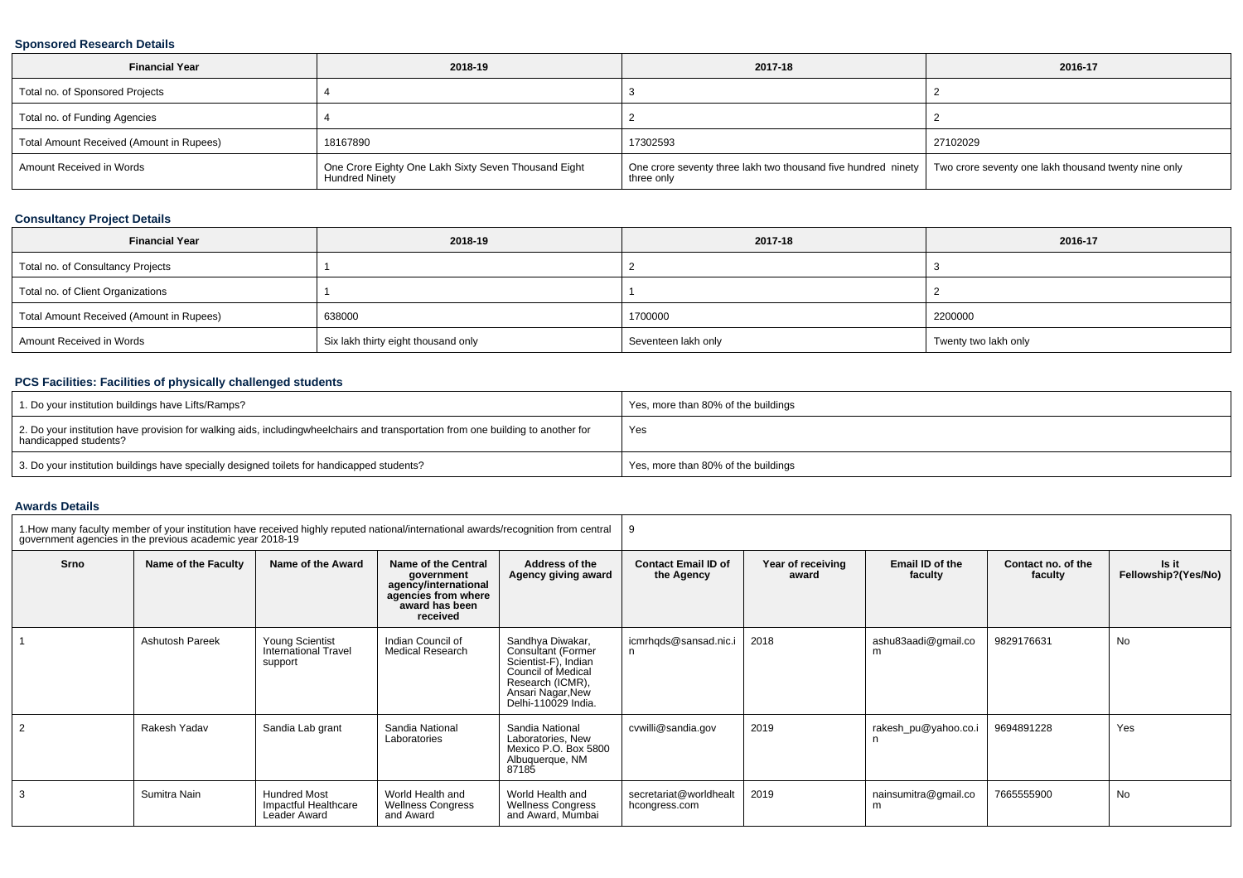## **Sponsored Research Details**

| <b>Financial Year</b>                    | 2018-19                                                                                    | 2017-18                                                                       | 2016-17                                              |
|------------------------------------------|--------------------------------------------------------------------------------------------|-------------------------------------------------------------------------------|------------------------------------------------------|
| Total no. of Sponsored Projects          |                                                                                            |                                                                               |                                                      |
| Total no. of Funding Agencies            |                                                                                            |                                                                               |                                                      |
| Total Amount Received (Amount in Rupees) | 18167890                                                                                   | 17302593                                                                      | 27102029                                             |
| Amount Received in Words                 | <sup>1</sup> One Crore Eighty One Lakh Sixty Seven Thousand Eight<br><b>Hundred Ninety</b> | One crore seventy three lakh two thousand five hundred ninety  <br>three only | Two crore seventy one lakh thousand twenty nine only |

# **Consultancy Project Details**

| <b>Financial Year</b>                    | 2018-19                             | 2017-18             | 2016-17              |
|------------------------------------------|-------------------------------------|---------------------|----------------------|
| Total no. of Consultancy Projects        |                                     |                     |                      |
| Total no. of Client Organizations        |                                     |                     |                      |
| Total Amount Received (Amount in Rupees) | 638000                              | 1700000             | 2200000              |
| Amount Received in Words                 | Six lakh thirty eight thousand only | Seventeen lakh only | Twenty two lakh only |

# **PCS Facilities: Facilities of physically challenged students**

| 1. Do your institution buildings have Lifts/Ramps?                                                                                                        | Yes, more than 80% of the buildings |
|-----------------------------------------------------------------------------------------------------------------------------------------------------------|-------------------------------------|
| 2. Do your institution have provision for walking aids, includingwheelchairs and transportation from one building to another for<br>handicapped students? | Yes                                 |
| 3. Do your institution buildings have specially designed toilets for handicapped students?                                                                | Yes, more than 80% of the buildings |

#### **Awards Details**

| 1. How many faculty member of your institution have received highly reputed national/international awards/recognition from central<br>government agencies in the previous academic year 2018-19 |                        |                                                                  |                                                                                                                |                                                                                                                                                             | 9                                        |                            |                            |                               |                              |  |
|-------------------------------------------------------------------------------------------------------------------------------------------------------------------------------------------------|------------------------|------------------------------------------------------------------|----------------------------------------------------------------------------------------------------------------|-------------------------------------------------------------------------------------------------------------------------------------------------------------|------------------------------------------|----------------------------|----------------------------|-------------------------------|------------------------------|--|
| <b>Srno</b>                                                                                                                                                                                     | Name of the Faculty    | Name of the Award                                                | Name of the Central<br>government<br>agency/international<br>agencies from where<br>award has been<br>received | Address of the<br>Agency giving award                                                                                                                       | <b>Contact Email ID of</b><br>the Agency | Year of receiving<br>award | Email ID of the<br>faculty | Contact no. of the<br>faculty | Is it<br>Fellowship?(Yes/No) |  |
|                                                                                                                                                                                                 | <b>Ashutosh Pareek</b> | <b>Young Scientist</b><br><b>International Travel</b><br>support | Indian Council of<br>Medical Research                                                                          | Sandhya Diwakar,<br>Consultant (Former<br>Scientist-F), Indian<br><b>Council of Medical</b><br>Research (ICMR),<br>Ansari Nagar, New<br>Delhi-110029 India. | icmrhqds@sansad.nic.i                    | 2018                       | ashu83aadi@gmail.co<br>m   | 9829176631                    | No                           |  |
|                                                                                                                                                                                                 | Rakesh Yadav           | Sandia Lab grant                                                 | Sandia National<br>Laboratories                                                                                | Sandia National<br>Laboratories, New<br>Mexico P.O. Box 5800<br>Albuquerque, NM<br>87185                                                                    | cvwilli@sandia.gov                       | 2019                       | rakesh_pu@yahoo.co.i       | 9694891228                    | Yes                          |  |
|                                                                                                                                                                                                 | Sumitra Nain           | <b>Hundred Most</b><br>Impactful Healthcare<br>Leader Award      | World Health and<br><b>Wellness Congress</b><br>and Award                                                      | World Health and<br><b>Wellness Congress</b><br>and Award, Mumbai                                                                                           | secretariat@worldhealt<br>hcongress.com  | 2019                       | nainsumitra@gmail.co<br>m  | 7665555900                    | No                           |  |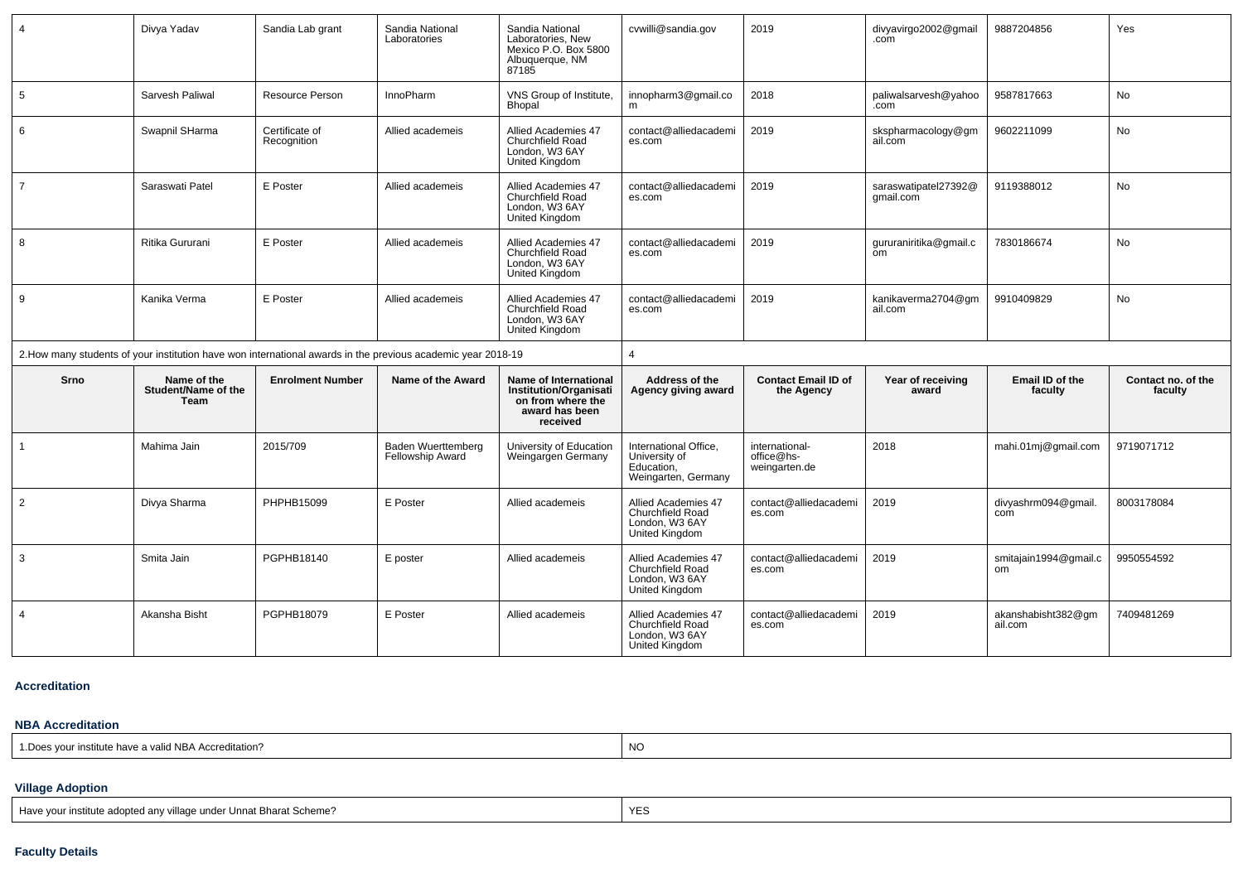| $\overline{4}$ | Divya Yadav                                                                                                  | Sandia Lab grant              | Sandia National<br>Laboratories        | Sandia National<br>Laboratories, New<br>Mexico P.O. Box 5800<br>Albuquerque, NM<br>87185                  | cvwilli@sandia.gov                                                          | 2019                                          | divyavirgo2002@gmail<br>.com      | 9887204856                  | Yes                           |
|----------------|--------------------------------------------------------------------------------------------------------------|-------------------------------|----------------------------------------|-----------------------------------------------------------------------------------------------------------|-----------------------------------------------------------------------------|-----------------------------------------------|-----------------------------------|-----------------------------|-------------------------------|
| 5              | Sarvesh Paliwal                                                                                              | <b>Resource Person</b>        | <b>InnoPharm</b>                       | VNS Group of Institute,<br>Bhopal                                                                         | innopharm3@gmail.co                                                         | 2018                                          | paliwalsarvesh@yahoo<br>.com      | 9587817663                  | No                            |
| 6              | Swapnil SHarma                                                                                               | Certificate of<br>Recognition | Allied academeis                       | Allied Academies 47<br>Churchfield Road<br>London, W3 6AY<br>United Kingdom                               | contact@alliedacademi<br>es.com                                             | 2019                                          | skspharmacology@gm<br>ail.com     | 9602211099                  | No                            |
| $\overline{7}$ | Saraswati Patel                                                                                              | E Poster                      | Allied academeis                       | Allied Academies 47<br>Churchfield Road<br>London, W3 6AY<br>United Kingdom                               | contact@alliedacademi<br>es.com                                             | 2019                                          | saraswatipatel27392@<br>qmail.com | 9119388012                  | No                            |
| 8              | Ritika Gururani                                                                                              | E Poster                      | Allied academeis                       | Allied Academies 47<br>Churchfield Road<br>London. W3 6AY<br>United Kingdom                               | contact@alliedacademi<br>es.com                                             | 2019                                          | gururaniritika@gmail.c<br>om      | 7830186674                  | No                            |
| 9              | Kanika Verma                                                                                                 | E Poster                      | Allied academeis                       | Allied Academies 47<br>Churchfield Road<br>London, W3 6AY<br>United Kingdom                               | contact@alliedacademi<br>es.com                                             | 2019                                          | kanikaverma2704@gm<br>ail.com     | 9910409829                  | No                            |
|                |                                                                                                              |                               |                                        |                                                                                                           |                                                                             |                                               |                                   |                             |                               |
|                | 2. How many students of your institution have won international awards in the previous academic year 2018-19 |                               |                                        |                                                                                                           | $\overline{\mathbf{4}}$                                                     |                                               |                                   |                             |                               |
| Srno           | Name of the<br>Student/Name of the<br>Team                                                                   | <b>Enrolment Number</b>       | Name of the Award                      | Name of International<br><b>Institution/Organisati</b><br>on from where the<br>award has been<br>received | Address of the<br>Agency giving award                                       | <b>Contact Email ID of</b><br>the Agency      | Year of receiving<br>award        | Email ID of the<br>faculty  | Contact no. of the<br>faculty |
| $\overline{1}$ | Mahima Jain                                                                                                  | 2015/709                      | Baden Wuerttemberg<br>Fellowship Award | University of Education<br>Weingargen Germany                                                             | International Office,<br>University of<br>Education,<br>Weingarten, Germany | international-<br>office@hs-<br>weingarten.de | 2018                              | mahi.01mj@gmail.com         | 9719071712                    |
| $\overline{2}$ | Divya Sharma                                                                                                 | PHPHB15099                    | E Poster                               | Allied academeis                                                                                          | Allied Academies 47<br>Churchfield Road<br>London, W3 6AY<br>United Kingdom | contact@alliedacademi<br>es.com               | 2019                              | divyashrm094@gmail.<br>com  | 8003178084                    |
| 3              | Smita Jain                                                                                                   | PGPHB18140                    | E poster                               | Allied academeis                                                                                          | Allied Academies 47<br>Churchfield Road<br>London, W3 6AY<br>United Kingdom | contact@alliedacademi<br>es.com               | 2019                              | smitajain1994@gmail.c<br>om | 9950554592                    |

#### **Accreditation**

## **NBA Accreditation**

| * institute have a valid NBA Accreditation?<br>I Does vour | NO. |
|------------------------------------------------------------|-----|
|------------------------------------------------------------|-----|

## **Village Adoption**

| Have your institute adopted any village under Unnat Bharat Scheme? | <b>YES</b> |
|--------------------------------------------------------------------|------------|
|--------------------------------------------------------------------|------------|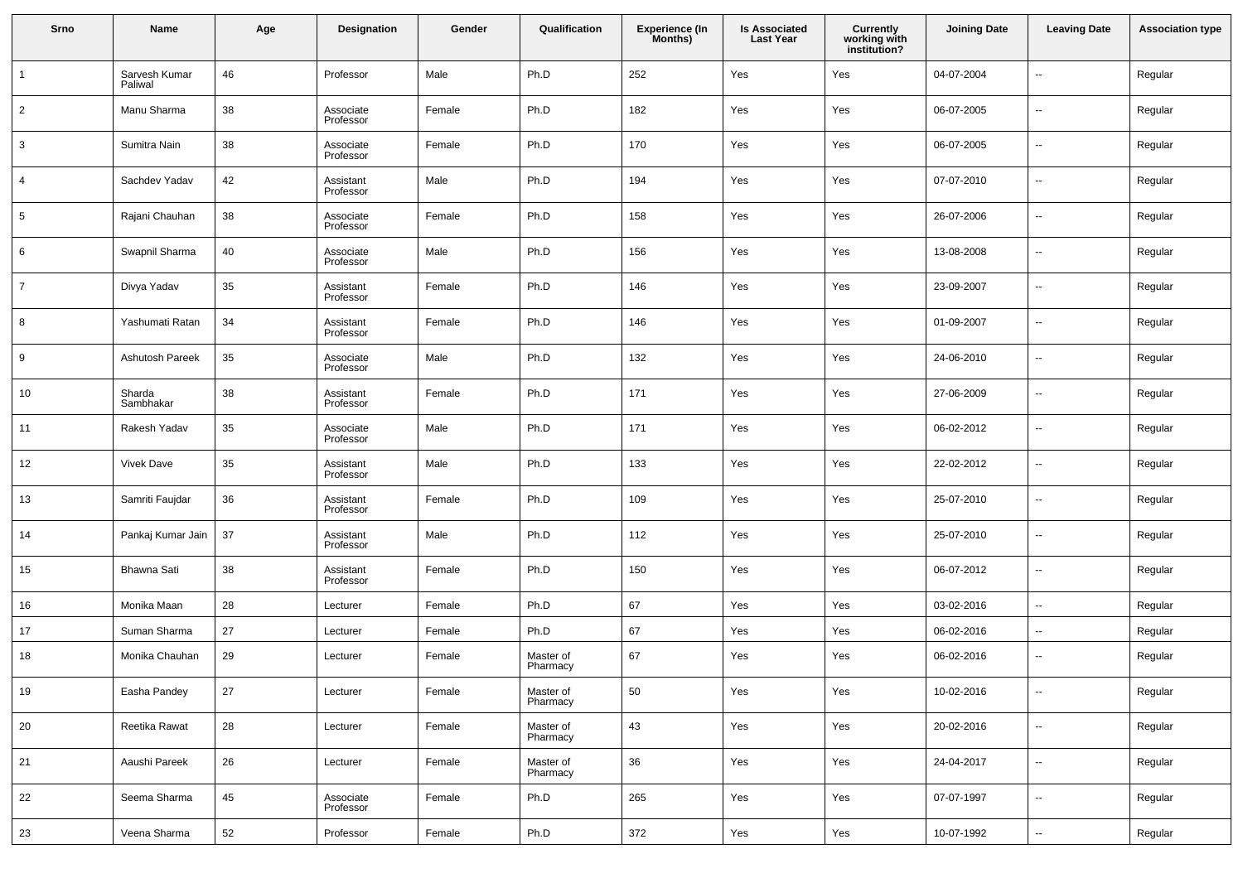| Srno           | Name                     | Age | Designation            | Gender | Qualification         | Experience (In<br>Months) | <b>Is Associated</b><br><b>Last Year</b> | <b>Currently</b><br>working with<br>institution? | <b>Joining Date</b> | <b>Leaving Date</b>      | <b>Association type</b> |
|----------------|--------------------------|-----|------------------------|--------|-----------------------|---------------------------|------------------------------------------|--------------------------------------------------|---------------------|--------------------------|-------------------------|
|                | Sarvesh Kumar<br>Paliwal | 46  | Professor              | Male   | Ph.D                  | 252                       | Yes                                      | Yes                                              | 04-07-2004          | $\overline{\phantom{a}}$ | Regular                 |
| $\overline{c}$ | Manu Sharma              | 38  | Associate<br>Professor | Female | Ph.D                  | 182                       | Yes                                      | Yes                                              | 06-07-2005          | $\ddotsc$                | Regular                 |
| 3              | Sumitra Nain             | 38  | Associate<br>Professor | Female | Ph.D                  | 170                       | Yes                                      | Yes                                              | 06-07-2005          | $\sim$                   | Regular                 |
| 4              | Sachdev Yadav            | 42  | Assistant<br>Professor | Male   | Ph.D                  | 194                       | Yes                                      | Yes                                              | 07-07-2010          | $\sim$                   | Regular                 |
| 5              | Rajani Chauhan           | 38  | Associate<br>Professor | Female | Ph.D                  | 158                       | Yes                                      | Yes                                              | 26-07-2006          | $\ddotsc$                | Regular                 |
| 6              | Swapnil Sharma           | 40  | Associate<br>Professor | Male   | Ph.D                  | 156                       | Yes                                      | Yes                                              | 13-08-2008          | $\ddotsc$                | Regular                 |
| $\overline{7}$ | Divya Yadav              | 35  | Assistant<br>Professor | Female | Ph.D                  | 146                       | Yes                                      | Yes                                              | 23-09-2007          | ц,                       | Regular                 |
| 8              | Yashumati Ratan          | 34  | Assistant<br>Professor | Female | Ph.D                  | 146                       | Yes                                      | Yes                                              | 01-09-2007          | $\ddotsc$                | Regular                 |
| 9              | Ashutosh Pareek          | 35  | Associate<br>Professor | Male   | Ph.D                  | 132                       | Yes                                      | Yes                                              | 24-06-2010          | $\ddotsc$                | Regular                 |
| 10             | Sharda<br>Sambhakar      | 38  | Assistant<br>Professor | Female | Ph.D                  | 171                       | Yes                                      | Yes                                              | 27-06-2009          | ц,                       | Regular                 |
| 11             | Rakesh Yadav             | 35  | Associate<br>Professor | Male   | Ph.D                  | 171                       | Yes                                      | Yes                                              | 06-02-2012          | $\ddotsc$                | Regular                 |
| 12             | Vivek Dave               | 35  | Assistant<br>Professor | Male   | Ph.D                  | 133                       | Yes                                      | Yes                                              | 22-02-2012          | $\sim$                   | Regular                 |
| 13             | Samriti Faujdar          | 36  | Assistant<br>Professor | Female | Ph.D                  | 109                       | Yes                                      | Yes                                              | 25-07-2010          | $\sim$                   | Regular                 |
| 14             | Pankaj Kumar Jain        | 37  | Assistant<br>Professor | Male   | Ph.D                  | 112                       | Yes                                      | Yes                                              | 25-07-2010          | $\overline{\phantom{a}}$ | Regular                 |
| 15             | Bhawna Sati              | 38  | Assistant<br>Professor | Female | Ph.D                  | 150                       | Yes                                      | Yes                                              | 06-07-2012          | $\sim$                   | Regular                 |
| 16             | Monika Maan              | 28  | Lecturer               | Female | Ph.D                  | 67                        | Yes                                      | Yes                                              | 03-02-2016          | $\sim$                   | Regular                 |
| 17             | Suman Sharma             | 27  | Lecturer               | Female | Ph.D                  | 67                        | Yes                                      | Yes                                              | 06-02-2016          | $\overline{\phantom{a}}$ | Regular                 |
| 18             | Monika Chauhan           | 29  | Lecturer               | Female | Master of<br>Pharmacy | 67                        | Yes                                      | Yes                                              | 06-02-2016          | $\overline{\phantom{a}}$ | Regular                 |
| 19             | Easha Pandey             | 27  | Lecturer               | Female | Master of<br>Pharmacy | 50                        | Yes                                      | Yes                                              | 10-02-2016          | $\overline{\phantom{a}}$ | Regular                 |
| 20             | Reetika Rawat            | 28  | Lecturer               | Female | Master of<br>Pharmacy | 43                        | Yes                                      | Yes                                              | 20-02-2016          | $\overline{\phantom{a}}$ | Regular                 |
| 21             | Aaushi Pareek            | 26  | Lecturer               | Female | Master of<br>Pharmacy | 36                        | Yes                                      | Yes                                              | 24-04-2017          | $\overline{\phantom{a}}$ | Regular                 |
| 22             | Seema Sharma             | 45  | Associate<br>Professor | Female | Ph.D                  | 265                       | Yes                                      | Yes                                              | 07-07-1997          | $\ddot{\phantom{1}}$     | Regular                 |
| 23             | Veena Sharma             | 52  | Professor              | Female | Ph.D                  | 372                       | Yes                                      | Yes                                              | 10-07-1992          | $\overline{\phantom{a}}$ | Regular                 |